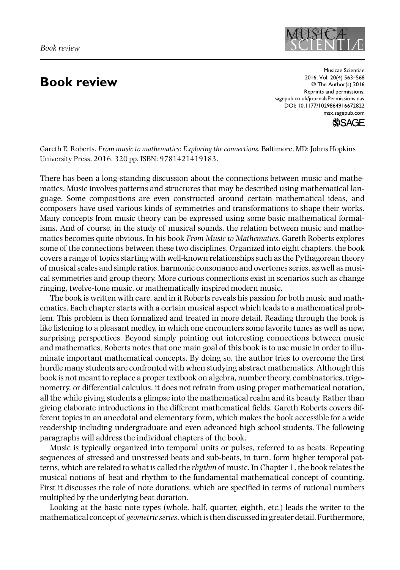## **Book review**

Musicae Scientiae 2016, Vol. 20(4) 563–568 © The Author(s) 2016 Reprints and permissions: sagepub.co.uk/journalsPermissions.nav DOI: 10.1177/1029864916672822 msx.sagepub.com



Gareth E. Roberts. *From music to mathematics: Exploring the connections.* Baltimore, MD: Johns Hopkins University Press, 2016. 320 pp. ISBN: 9781421419183.

There has been a long-standing discussion about the connections between music and mathematics. Music involves patterns and structures that may be described using mathematical language. Some compositions are even constructed around certain mathematical ideas, and composers have used various kinds of symmetries and transformations to shape their works. Many concepts from music theory can be expressed using some basic mathematical formalisms. And of course, in the study of musical sounds, the relation between music and mathematics becomes quite obvious. In his book *From Music to Mathematics*, Gareth Roberts explores some of the connections between these two disciplines. Organized into eight chapters, the book covers a range of topics starting with well-known relationships such as the Pythagorean theory of musical scales and simple ratios, harmonic consonance and overtones series, as well as musical symmetries and group theory. More curious connections exist in scenarios such as change ringing, twelve-tone music, or mathematically inspired modern music.

The book is written with care, and in it Roberts reveals his passion for both music and mathematics. Each chapter starts with a certain musical aspect which leads to a mathematical problem. This problem is then formalized and treated in more detail. Reading through the book is like listening to a pleasant medley, in which one encounters some favorite tunes as well as new, surprising perspectives. Beyond simply pointing out interesting connections between music and mathematics, Roberts notes that one main goal of this book is to use music in order to illuminate important mathematical concepts. By doing so, the author tries to overcome the first hurdle many students are confronted with when studying abstract mathematics. Although this book is not meant to replace a proper textbook on algebra, number theory, combinatorics, trigonometry, or differential calculus, it does not refrain from using proper mathematical notation, all the while giving students a glimpse into the mathematical realm and its beauty. Rather than giving elaborate introductions in the different mathematical fields, Gareth Roberts covers different topics in an anecdotal and elementary form, which makes the book accessible for a wide readership including undergraduate and even advanced high school students. The following paragraphs will address the individual chapters of the book.

Music is typically organized into temporal units or pulses, referred to as beats. Repeating sequences of stressed and unstressed beats and sub-beats, in turn, form higher temporal patterns, which are related to what is called the *rhythm* of music. In Chapter 1, the book relates the musical notions of beat and rhythm to the fundamental mathematical concept of counting. First it discusses the role of note durations, which are specified in terms of rational numbers multiplied by the underlying beat duration.

Looking at the basic note types (whole, half, quarter, eighth, etc.) leads the writer to the mathematical concept of *geometric series*, which is then discussed in greater detail. Furthermore,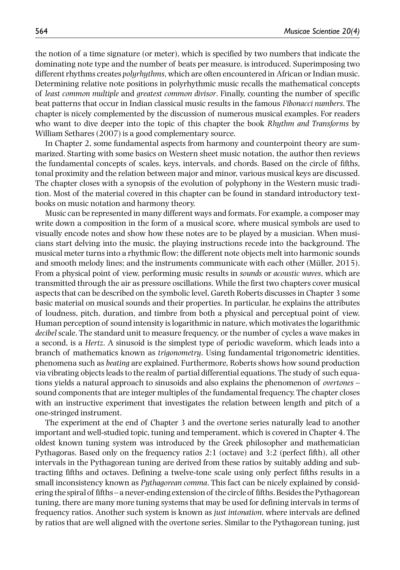the notion of a time signature (or meter), which is specified by two numbers that indicate the dominating note type and the number of beats per measure, is introduced. Superimposing two different rhythms creates *polyrhythms*, which are often encountered in African or Indian music. Determining relative note positions in polyrhythmic music recalls the mathematical concepts of *least common multiple* and *greatest common divisor*. Finally, counting the number of specific beat patterns that occur in Indian classical music results in the famous *Fibonacci numbers*. The chapter is nicely complemented by the discussion of numerous musical examples. For readers who want to dive deeper into the topic of this chapter the book *Rhythm and Transforms* by William Sethares (2007) is a good complementary source.

In Chapter 2, some fundamental aspects from harmony and counterpoint theory are summarized. Starting with some basics on Western sheet music notation, the author then reviews the fundamental concepts of scales, keys, intervals, and chords. Based on the circle of fifths, tonal proximity and the relation between major and minor, various musical keys are discussed. The chapter closes with a synopsis of the evolution of polyphony in the Western music tradition. Most of the material covered in this chapter can be found in standard introductory textbooks on music notation and harmony theory.

Music can be represented in many different ways and formats. For example, a composer may write down a composition in the form of a musical score, where musical symbols are used to visually encode notes and show how these notes are to be played by a musician. When musicians start delving into the music, the playing instructions recede into the background. The musical meter turns into a rhythmic flow; the different note objects melt into harmonic sounds and smooth melody lines; and the instruments communicate with each other (Müller, 2015). From a physical point of view, performing music results in *sounds* or *acoustic waves*, which are transmitted through the air as pressure oscillations. While the first two chapters cover musical aspects that can be described on the symbolic level, Gareth Roberts discusses in Chapter 3 some basic material on musical sounds and their properties. In particular, he explains the attributes of loudness, pitch, duration, and timbre from both a physical and perceptual point of view. Human perception of sound intensity is logarithmic in nature, which motivates the logarithmic *decibel* scale. The standard unit to measure frequency, or the number of cycles a wave makes in a second, is a *Hertz*. A sinusoid is the simplest type of periodic waveform, which leads into a branch of mathematics known as *trigonometry*. Using fundamental trigonometric identities, phenomena such as *beating* are explained. Furthermore, Roberts shows how sound production via vibrating objects leads to the realm of partial differential equations. The study of such equations yields a natural approach to sinusoids and also explains the phenomenon of *overtones* – sound components that are integer multiples of the fundamental frequency. The chapter closes with an instructive experiment that investigates the relation between length and pitch of a one-stringed instrument.

The experiment at the end of Chapter 3 and the overtone series naturally lead to another important and well-studied topic, tuning and temperament, which is covered in Chapter 4. The oldest known tuning system was introduced by the Greek philosopher and mathematician Pythagoras. Based only on the frequency ratios 2:1 (octave) and 3:2 (perfect fifth), all other intervals in the Pythagorean tuning are derived from these ratios by suitably adding and subtracting fifths and octaves. Defining a twelve-tone scale using only perfect fifths results in a small inconsistency known as *Pythagorean comma*. This fact can be nicely explained by considering the spiral of fifths – a never-ending extension of the circle of fifths. Besides the Pythagorean tuning, there are many more tuning systems that may be used for defining intervals in terms of frequency ratios. Another such system is known as *just intonation*, where intervals are defined by ratios that are well aligned with the overtone series. Similar to the Pythagorean tuning, just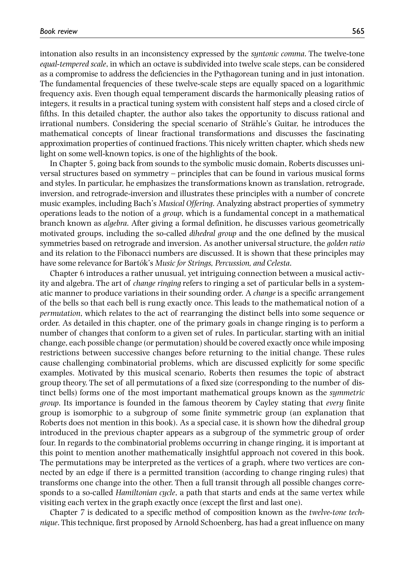intonation also results in an inconsistency expressed by the *syntonic comma*. The twelve-tone *equal-tempered scale*, in which an octave is subdivided into twelve scale steps, can be considered as a compromise to address the deficiencies in the Pythagorean tuning and in just intonation. The fundamental frequencies of these twelve-scale steps are equally spaced on a logarithmic frequency axis. Even though equal temperament discards the harmonically pleasing ratios of integers, it results in a practical tuning system with consistent half steps and a closed circle of fifths. In this detailed chapter, the author also takes the opportunity to discuss rational and irrational numbers. Considering the special scenario of Strähle's Guitar, he introduces the mathematical concepts of linear fractional transformations and discusses the fascinating approximation properties of continued fractions. This nicely written chapter, which sheds new light on some well-known topics, is one of the highlights of the book.

In Chapter 5, going back from sounds to the symbolic music domain, Roberts discusses universal structures based on symmetry – principles that can be found in various musical forms and styles. In particular, he emphasizes the transformations known as translation, retrograde, inversion, and retrograde-inversion and illustrates these principles with a number of concrete music examples, including Bach's *Musical Offering*. Analyzing abstract properties of symmetry operations leads to the notion of a *group*, which is a fundamental concept in a mathematical branch known as *algebra*. After giving a formal definition, he discusses various geometrically motivated groups, including the so-called *dihedral group* and the one defined by the musical symmetries based on retrograde and inversion. As another universal structure, the *golden ratio* and its relation to the Fibonacci numbers are discussed. It is shown that these principles may have some relevance for Bartók's *Music for Strings, Percussion, and Celesta*.

Chapter 6 introduces a rather unusual, yet intriguing connection between a musical activity and algebra. The art of *change ringing* refers to ringing a set of particular bells in a systematic manner to produce variations in their sounding order. A *change* is a specific arrangement of the bells so that each bell is rung exactly once. This leads to the mathematical notion of a *permutation*, which relates to the act of rearranging the distinct bells into some sequence or order. As detailed in this chapter, one of the primary goals in change ringing is to perform a number of changes that conform to a given set of rules. In particular, starting with an initial change, each possible change (or permutation) should be covered exactly once while imposing restrictions between successive changes before returning to the initial change. These rules cause challenging combinatorial problems, which are discussed explicitly for some specific examples. Motivated by this musical scenario, Roberts then resumes the topic of abstract group theory. The set of all permutations of a fixed size (corresponding to the number of distinct bells) forms one of the most important mathematical groups known as the *symmetric group*. Its importance is founded in the famous theorem by Cayley stating that *every* finite group is isomorphic to a subgroup of some finite symmetric group (an explanation that Roberts does not mention in this book). As a special case, it is shown how the dihedral group introduced in the previous chapter appears as a subgroup of the symmetric group of order four. In regards to the combinatorial problems occurring in change ringing, it is important at this point to mention another mathematically insightful approach not covered in this book. The permutations may be interpreted as the vertices of a graph, where two vertices are connected by an edge if there is a permitted transition (according to change ringing rules) that transforms one change into the other. Then a full transit through all possible changes corresponds to a so-called *Hamiltonian cycle*, a path that starts and ends at the same vertex while visiting each vertex in the graph exactly once (except the first and last one).

Chapter 7 is dedicated to a specific method of composition known as the *twelve-tone technique*. This technique, first proposed by Arnold Schoenberg, has had a great influence on many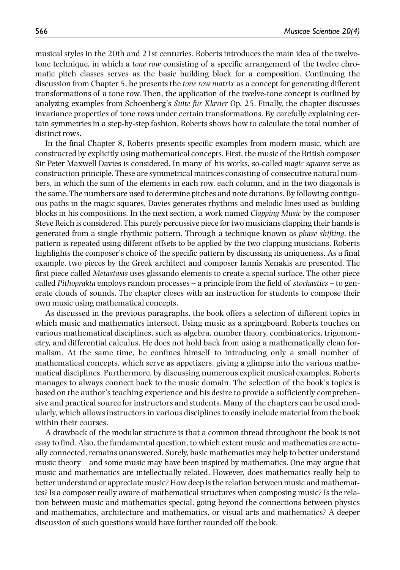musical styles in the 20th and 21st centuries. Roberts introduces the main idea of the twelvetone technique, in which a *tone row* consisting of a specific arrangement of the twelve chromatic pitch classes serves as the basic building block for a composition. Continuing the discussion from Chapter 5, he presents the *tone row matrix* as a concept for generating different transformations of a tone row. Then, the application of the twelve-tone concept is outlined by analyzing examples from Schoenberg's *Suite für Klavier* Op. 25. Finally, the chapter discusses invariance properties of tone rows under certain transformations. By carefully explaining certain symmetries in a step-by-step fashion, Roberts shows how to calculate the total number of distinct rows.

In the final Chapter 8, Roberts presents specific examples from modern music, which are constructed by explicitly using mathematical concepts. First, the music of the British composer Sir Peter Maxwell Davies is considered. In many of his works, so-called *magic squares* serve as construction principle. These are symmetrical matrices consisting of consecutive natural numbers, in which the sum of the elements in each row, each column, and in the two diagonals is the same. The numbers are used to determine pitches and note durations. By following contiguous paths in the magic squares, Davies generates rhythms and melodic lines used as building blocks in his compositions. In the next section, a work named *Clapping Music* by the composer Steve Reich is considered. This purely percussive piece for two musicians clapping their hands is generated from a single rhythmic pattern. Through a technique known as *phase shifting*, the pattern is repeated using different offsets to be applied by the two clapping musicians. Roberts highlights the composer's choice of the specific pattern by discussing its uniqueness. As a final example, two pieces by the Greek architect and composer Iannis Xenakis are presented. The first piece called *Metastasis* uses glissando elements to create a special surface. The other piece called *Pithoprakta* employs random processes – a principle from the field of *stochastics* – to generate clouds of sounds. The chapter closes with an instruction for students to compose their own music using mathematical concepts.

As discussed in the previous paragraphs, the book offers a selection of different topics in which music and mathematics intersect. Using music as a springboard, Roberts touches on various mathematical disciplines, such as algebra, number theory, combinatorics, trigonometry, and differential calculus. He does not hold back from using a mathematically clean formalism. At the same time, he confines himself to introducing only a small number of mathematical concepts, which serve as appetizers, giving a glimpse into the various mathematical disciplines. Furthermore, by discussing numerous explicit musical examples, Roberts manages to always connect back to the music domain. The selection of the book's topics is based on the author's teaching experience and his desire to provide a sufficiently comprehensive and practical source for instructors and students. Many of the chapters can be used modularly, which allows instructors in various disciplines to easily include material from the book within their courses.

A drawback of the modular structure is that a common thread throughout the book is not easy to find. Also, the fundamental question, to which extent music and mathematics are actually connected, remains unanswered. Surely, basic mathematics may help to better understand music theory – and some music may have been inspired by mathematics. One may argue that music and mathematics are intellectually related. However, does mathematics really help to better understand or appreciate music? How deep is the relation between music and mathematics? Is a composer really aware of mathematical structures when composing music? Is the relation between music and mathematics special, going beyond the connections between physics and mathematics, architecture and mathematics, or visual arts and mathematics? A deeper discussion of such questions would have further rounded off the book.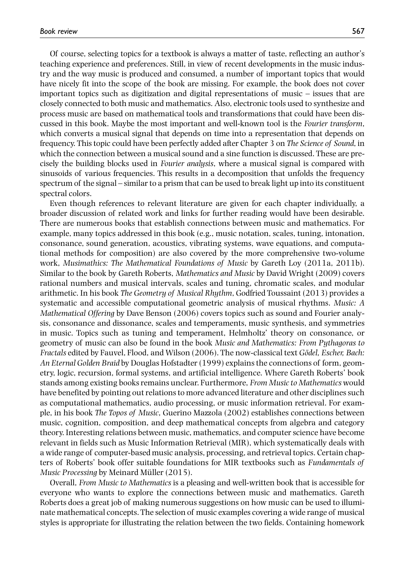Of course, selecting topics for a textbook is always a matter of taste, reflecting an author's teaching experience and preferences. Still, in view of recent developments in the music industry and the way music is produced and consumed, a number of important topics that would have nicely fit into the scope of the book are missing. For example, the book does not cover important topics such as digitization and digital representations of music – issues that are closely connected to both music and mathematics. Also, electronic tools used to synthesize and process music are based on mathematical tools and transformations that could have been discussed in this book. Maybe the most important and well-known tool is the *Fourier transform*, which converts a musical signal that depends on time into a representation that depends on frequency. This topic could have been perfectly added after Chapter 3 on *The Science of Sound*, in which the connection between a musical sound and a sine function is discussed. These are precisely the building blocks used in *Fourier analysis*, where a musical signal is compared with sinusoids of various frequencies. This results in a decomposition that unfolds the frequency spectrum of the signal – similar to a prism that can be used to break light up into its constituent spectral colors.

Even though references to relevant literature are given for each chapter individually, a broader discussion of related work and links for further reading would have been desirable. There are numerous books that establish connections between music and mathematics. For example, many topics addressed in this book (e.g., music notation, scales, tuning, intonation, consonance, sound generation, acoustics, vibrating systems, wave equations, and computational methods for composition) are also covered by the more comprehensive two-volume work, *Musimathics: The Mathematical Foundations of Music* by Gareth Loy (2011a, 2011b). Similar to the book by Gareth Roberts, *Mathematics and Music* by David Wright (2009) covers rational numbers and musical intervals, scales and tuning, chromatic scales, and modular arithmetic. In his book *The Geometry of Musical Rhythm*, Godfried Toussaint (2013) provides a systematic and accessible computational geometric analysis of musical rhythms. *Music: A Mathematical Offering* by Dave Benson (2006) covers topics such as sound and Fourier analysis, consonance and dissonance, scales and temperaments, music synthesis, and symmetries in music. Topics such as tuning and temperament, Helmholtz' theory on consonance, or geometry of music can also be found in the book *Music and Mathematics: From Pythagoras to Fractals* edited by Fauvel, Flood, and Wilson (2006). The now-classical text *Gödel, Escher, Bach: An Eternal Golden Braid* by Douglas Hofstadter (1999) explains the connections of form, geometry, logic, recursion, formal systems, and artificial intelligence. Where Gareth Roberts' book stands among existing books remains unclear. Furthermore, *From Music to Mathematics* would have benefited by pointing out relations to more advanced literature and other disciplines such as computational mathematics, audio processing, or music information retrieval. For example, in his book *The Topos of Music*, Guerino Mazzola (2002) establishes connections between music, cognition, composition, and deep mathematical concepts from algebra and category theory. Interesting relations between music, mathematics, and computer science have become relevant in fields such as Music Information Retrieval (MIR), which systematically deals with a wide range of computer-based music analysis, processing, and retrieval topics. Certain chapters of Roberts' book offer suitable foundations for MIR textbooks such as *Fundamentals of Music Processing* by Meinard Müller (2015).

Overall, *From Music to Mathematics* is a pleasing and well-written book that is accessible for everyone who wants to explore the connections between music and mathematics. Gareth Roberts does a great job of making numerous suggestions on how music can be used to illuminate mathematical concepts. The selection of music examples covering a wide range of musical styles is appropriate for illustrating the relation between the two fields. Containing homework